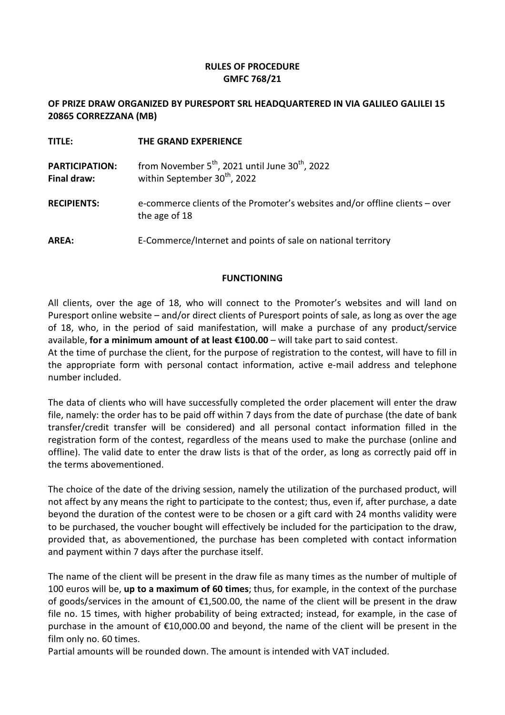### RULES OF PROCEDURE GMFC 768/21

### OF PRIZE DRAW ORGANIZED BY PURESPORT SRL HEADQUARTERED IN VIA GALILEO GALILEI 15 20865 CORREZZANA (MB)

| <b>TITLE:</b>                        | THE GRAND EXPERIENCE                                                                                         |
|--------------------------------------|--------------------------------------------------------------------------------------------------------------|
| <b>PARTICIPATION:</b><br>Final draw: | from November $5^{th}$ , 2021 until June 30 <sup>th</sup> , 2022<br>within September 30 <sup>th</sup> , 2022 |
| <b>RECIPIENTS:</b>                   | e-commerce clients of the Promoter's websites and/or offline clients – over<br>the age of 18                 |
| <b>AREA:</b>                         | E-Commerce/Internet and points of sale on national territory                                                 |

### FUNCTIONING

All clients, over the age of 18, who will connect to the Promoter's websites and will land on Puresport online website – and/or direct clients of Puresport points of sale, as long as over the age of 18, who, in the period of said manifestation, will make a purchase of any product/service available, for a minimum amount of at least  $\epsilon$ 100.00 – will take part to said contest.

At the time of purchase the client, for the purpose of registration to the contest, will have to fill in the appropriate form with personal contact information, active e-mail address and telephone number included.

The data of clients who will have successfully completed the order placement will enter the draw file, namely: the order has to be paid off within 7 days from the date of purchase (the date of bank transfer/credit transfer will be considered) and all personal contact information filled in the registration form of the contest, regardless of the means used to make the purchase (online and offline). The valid date to enter the draw lists is that of the order, as long as correctly paid off in the terms abovementioned.

The choice of the date of the driving session, namely the utilization of the purchased product, will not affect by any means the right to participate to the contest; thus, even if, after purchase, a date beyond the duration of the contest were to be chosen or a gift card with 24 months validity were to be purchased, the voucher bought will effectively be included for the participation to the draw, provided that, as abovementioned, the purchase has been completed with contact information and payment within 7 days after the purchase itself.

The name of the client will be present in the draw file as many times as the number of multiple of 100 euros will be, up to a maximum of 60 times; thus, for example, in the context of the purchase of goods/services in the amount of €1,500.00, the name of the client will be present in the draw file no. 15 times, with higher probability of being extracted; instead, for example, in the case of purchase in the amount of €10,000.00 and beyond, the name of the client will be present in the film only no. 60 times.

Partial amounts will be rounded down. The amount is intended with VAT included.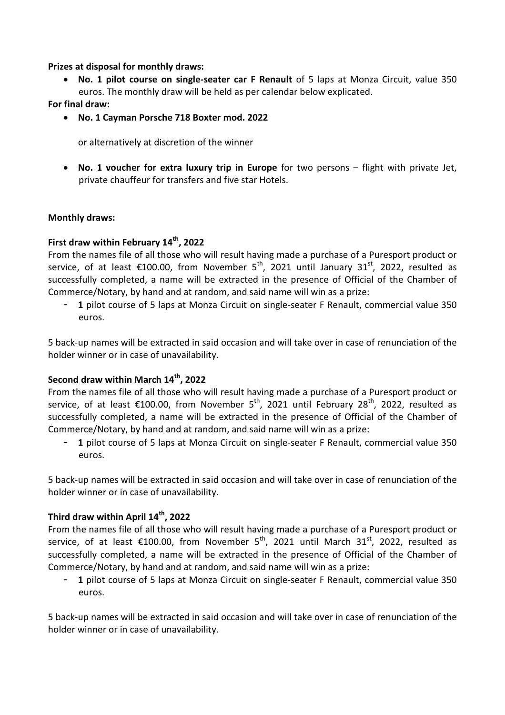#### Prizes at disposal for monthly draws:

• No. 1 pilot course on single-seater car F Renault of 5 laps at Monza Circuit, value 350 euros. The monthly draw will be held as per calendar below explicated.

For final draw:

• No. 1 Cayman Porsche 718 Boxter mod. 2022

or alternatively at discretion of the winner

• No. 1 voucher for extra luxury trip in Europe for two persons – flight with private Jet, private chauffeur for transfers and five star Hotels.

### Monthly draws:

# First draw within February 14<sup>th</sup>, 2022

From the names file of all those who will result having made a purchase of a Puresport product or service, of at least  $\epsilon$ 100.00, from November 5<sup>th</sup>, 2021 until January 31<sup>st</sup>, 2022, resulted as successfully completed, a name will be extracted in the presence of Official of the Chamber of Commerce/Notary, by hand and at random, and said name will win as a prize:

1 pilot course of 5 laps at Monza Circuit on single-seater F Renault, commercial value 350 euros.

5 back-up names will be extracted in said occasion and will take over in case of renunciation of the holder winner or in case of unavailability.

## Second draw within March 14<sup>th</sup>, 2022

From the names file of all those who will result having made a purchase of a Puresport product or service, of at least  $\epsilon$ 100.00, from November 5<sup>th</sup>, 2021 until February 28<sup>th</sup>, 2022, resulted as successfully completed, a name will be extracted in the presence of Official of the Chamber of Commerce/Notary, by hand and at random, and said name will win as a prize:

- 1 pilot course of 5 laps at Monza Circuit on single-seater F Renault, commercial value 350 euros.

5 back-up names will be extracted in said occasion and will take over in case of renunciation of the holder winner or in case of unavailability.

## Third draw within April 14<sup>th</sup>, 2022

From the names file of all those who will result having made a purchase of a Puresport product or service, of at least  $\epsilon$ 100.00, from November 5<sup>th</sup>, 2021 until March 31<sup>st</sup>, 2022, resulted as successfully completed, a name will be extracted in the presence of Official of the Chamber of Commerce/Notary, by hand and at random, and said name will win as a prize:

1 pilot course of 5 laps at Monza Circuit on single-seater F Renault, commercial value 350 euros.

5 back-up names will be extracted in said occasion and will take over in case of renunciation of the holder winner or in case of unavailability.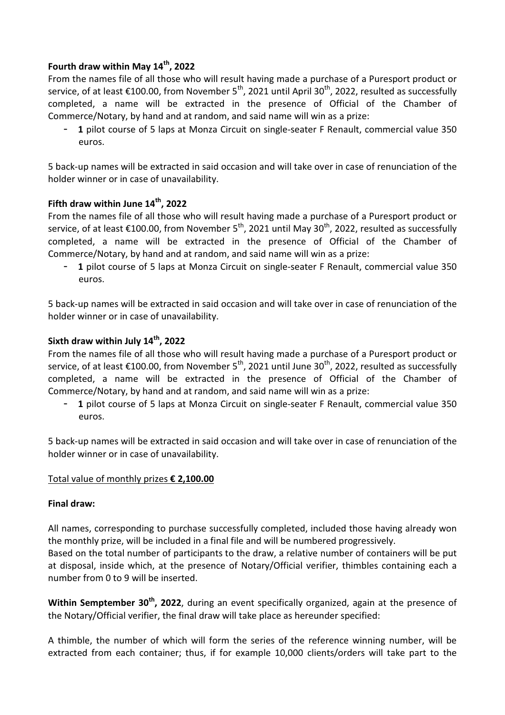# Fourth draw within May  $14<sup>th</sup>$ , 2022

From the names file of all those who will result having made a purchase of a Puresport product or service, of at least  $\epsilon$ 100.00, from November 5<sup>th</sup>, 2021 until April 30<sup>th</sup>, 2022, resulted as successfully completed, a name will be extracted in the presence of Official of the Chamber of Commerce/Notary, by hand and at random, and said name will win as a prize:

1 pilot course of 5 laps at Monza Circuit on single-seater F Renault, commercial value 350 euros.

5 back-up names will be extracted in said occasion and will take over in case of renunciation of the holder winner or in case of unavailability.

# Fifth draw within June  $14<sup>th</sup>$ , 2022

From the names file of all those who will result having made a purchase of a Puresport product or service, of at least  $\epsilon$ 100.00, from November 5<sup>th</sup>, 2021 until May 30<sup>th</sup>, 2022, resulted as successfully completed, a name will be extracted in the presence of Official of the Chamber of Commerce/Notary, by hand and at random, and said name will win as a prize:

1 pilot course of 5 laps at Monza Circuit on single-seater F Renault, commercial value 350 euros.

5 back-up names will be extracted in said occasion and will take over in case of renunciation of the holder winner or in case of unavailability.

## Sixth draw within July  $14<sup>th</sup>$ , 2022

From the names file of all those who will result having made a purchase of a Puresport product or service, of at least  $\epsilon$ 100.00, from November 5<sup>th</sup>, 2021 until June 30<sup>th</sup>, 2022, resulted as successfully completed, a name will be extracted in the presence of Official of the Chamber of Commerce/Notary, by hand and at random, and said name will win as a prize:

- 1 pilot course of 5 laps at Monza Circuit on single-seater F Renault, commercial value 350 euros.

5 back-up names will be extracted in said occasion and will take over in case of renunciation of the holder winner or in case of unavailability.

#### Total value of monthly prizes € 2,100.00

#### Final draw:

All names, corresponding to purchase successfully completed, included those having already won the monthly prize, will be included in a final file and will be numbered progressively.

Based on the total number of participants to the draw, a relative number of containers will be put at disposal, inside which, at the presence of Notary/Official verifier, thimbles containing each a number from 0 to 9 will be inserted.

Within Semptember 30<sup>th</sup>, 2022, during an event specifically organized, again at the presence of the Notary/Official verifier, the final draw will take place as hereunder specified:

A thimble, the number of which will form the series of the reference winning number, will be extracted from each container; thus, if for example 10,000 clients/orders will take part to the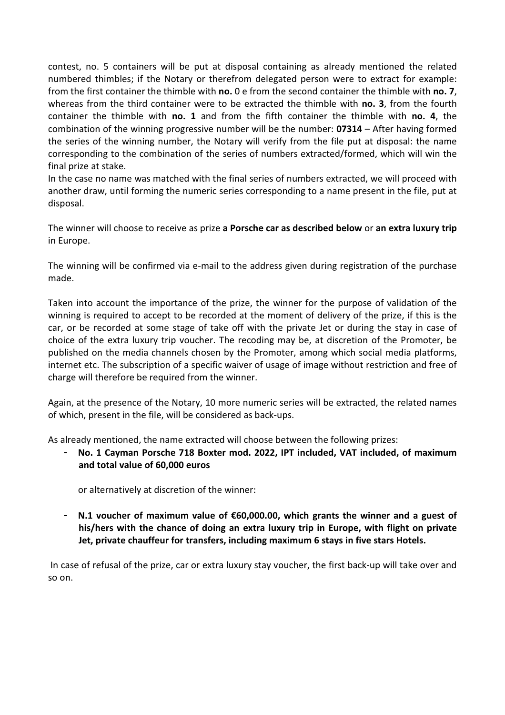contest, no. 5 containers will be put at disposal containing as already mentioned the related numbered thimbles; if the Notary or therefrom delegated person were to extract for example: from the first container the thimble with no. 0 e from the second container the thimble with no. 7, whereas from the third container were to be extracted the thimble with no. 3, from the fourth container the thimble with no. 1 and from the fifth container the thimble with no. 4, the combination of the winning progressive number will be the number:  $07314 -$  After having formed the series of the winning number, the Notary will verify from the file put at disposal: the name corresponding to the combination of the series of numbers extracted/formed, which will win the final prize at stake.

In the case no name was matched with the final series of numbers extracted, we will proceed with another draw, until forming the numeric series corresponding to a name present in the file, put at disposal.

The winner will choose to receive as prize a Porsche car as described below or an extra luxury trip in Europe.

The winning will be confirmed via e-mail to the address given during registration of the purchase made.

Taken into account the importance of the prize, the winner for the purpose of validation of the winning is required to accept to be recorded at the moment of delivery of the prize, if this is the car, or be recorded at some stage of take off with the private Jet or during the stay in case of choice of the extra luxury trip voucher. The recoding may be, at discretion of the Promoter, be published on the media channels chosen by the Promoter, among which social media platforms, internet etc. The subscription of a specific waiver of usage of image without restriction and free of charge will therefore be required from the winner.

Again, at the presence of the Notary, 10 more numeric series will be extracted, the related names of which, present in the file, will be considered as back-ups.

As already mentioned, the name extracted will choose between the following prizes:

No. 1 Cayman Porsche 718 Boxter mod. 2022, IPT included, VAT included, of maximum and total value of 60,000 euros

or alternatively at discretion of the winner:

- N.1 voucher of maximum value of €60,000.00, which grants the winner and a guest of his/hers with the chance of doing an extra luxury trip in Europe, with flight on private Jet, private chauffeur for transfers, including maximum 6 stays in five stars Hotels.

 In case of refusal of the prize, car or extra luxury stay voucher, the first back-up will take over and so on.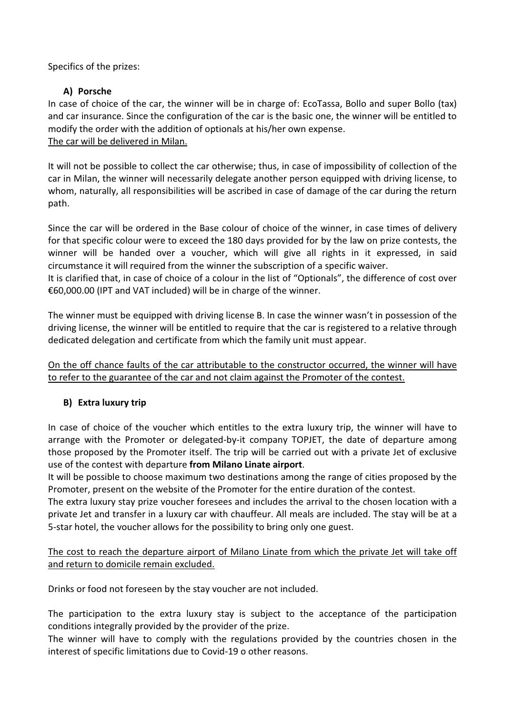Specifics of the prizes:

# A) Porsche

In case of choice of the car, the winner will be in charge of: EcoTassa, Bollo and super Bollo (tax) and car insurance. Since the configuration of the car is the basic one, the winner will be entitled to modify the order with the addition of optionals at his/her own expense. The car will be delivered in Milan.

It will not be possible to collect the car otherwise; thus, in case of impossibility of collection of the car in Milan, the winner will necessarily delegate another person equipped with driving license, to whom, naturally, all responsibilities will be ascribed in case of damage of the car during the return path.

Since the car will be ordered in the Base colour of choice of the winner, in case times of delivery for that specific colour were to exceed the 180 days provided for by the law on prize contests, the winner will be handed over a voucher, which will give all rights in it expressed, in said circumstance it will required from the winner the subscription of a specific waiver.

It is clarified that, in case of choice of a colour in the list of "Optionals", the difference of cost over €60,000.00 (IPT and VAT included) will be in charge of the winner.

The winner must be equipped with driving license B. In case the winner wasn't in possession of the driving license, the winner will be entitled to require that the car is registered to a relative through dedicated delegation and certificate from which the family unit must appear.

On the off chance faults of the car attributable to the constructor occurred, the winner will have to refer to the guarantee of the car and not claim against the Promoter of the contest.

# B) Extra luxury trip

In case of choice of the voucher which entitles to the extra luxury trip, the winner will have to arrange with the Promoter or delegated-by-it company TOPJET, the date of departure among those proposed by the Promoter itself. The trip will be carried out with a private Jet of exclusive use of the contest with departure from Milano Linate airport.

It will be possible to choose maximum two destinations among the range of cities proposed by the Promoter, present on the website of the Promoter for the entire duration of the contest.

The extra luxury stay prize voucher foresees and includes the arrival to the chosen location with a private Jet and transfer in a luxury car with chauffeur. All meals are included. The stay will be at a 5-star hotel, the voucher allows for the possibility to bring only one guest.

The cost to reach the departure airport of Milano Linate from which the private Jet will take off and return to domicile remain excluded.

Drinks or food not foreseen by the stay voucher are not included.

The participation to the extra luxury stay is subject to the acceptance of the participation conditions integrally provided by the provider of the prize.

The winner will have to comply with the regulations provided by the countries chosen in the interest of specific limitations due to Covid-19 o other reasons.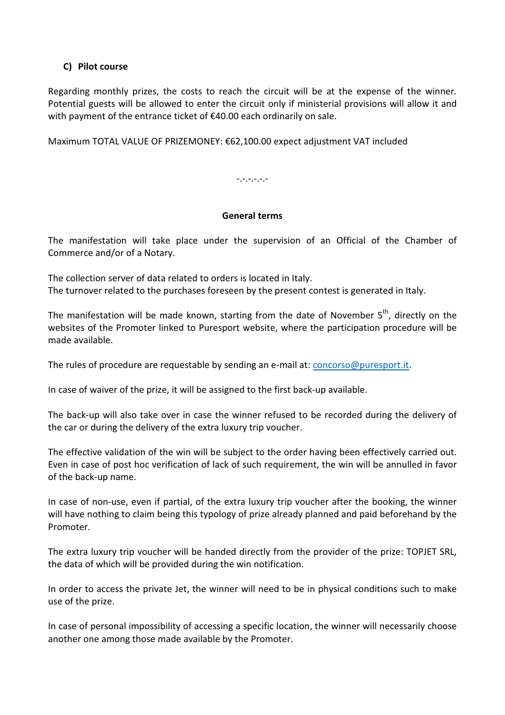## C) Pilot course

Regarding monthly prizes, the costs to reach the circuit will be at the expense of the winner. Potential guests will be allowed to enter the circuit only if ministerial provisions will allow it and with payment of the entrance ticket of €40.00 each ordinarily on sale.

Maximum TOTAL VALUE OF PRIZEMONEY: €62,100.00 expect adjustment VAT included

-.-.-.-.-.-

### General terms

The manifestation will take place under the supervision of an Official of the Chamber of Commerce and/or of a Notary.

The collection server of data related to orders is located in Italy. The turnover related to the purchases foreseen by the present contest is generated in Italy.

The manifestation will be made known, starting from the date of November  $5<sup>th</sup>$ , directly on the websites of the Promoter linked to Puresport website, where the participation procedure will be made available.

The rules of procedure are requestable by sending an e-mail at: concorso@puresport.it.

In case of waiver of the prize, it will be assigned to the first back-up available.

The back-up will also take over in case the winner refused to be recorded during the delivery of the car or during the delivery of the extra luxury trip voucher.

The effective validation of the win will be subject to the order having been effectively carried out. Even in case of post hoc verification of lack of such requirement, the win will be annulled in favor of the back-up name.

In case of non-use, even if partial, of the extra luxury trip voucher after the booking, the winner will have nothing to claim being this typology of prize already planned and paid beforehand by the Promoter.

The extra luxury trip voucher will be handed directly from the provider of the prize: TOPJET SRL, the data of which will be provided during the win notification.

In order to access the private Jet, the winner will need to be in physical conditions such to make use of the prize.

In case of personal impossibility of accessing a specific location, the winner will necessarily choose another one among those made available by the Promoter.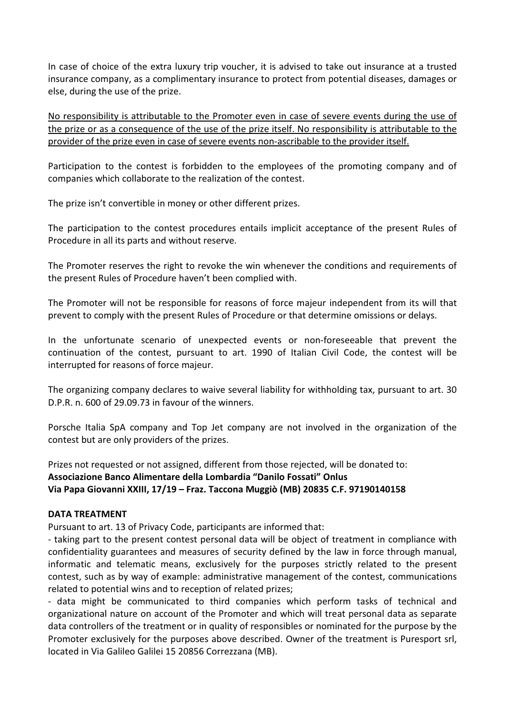In case of choice of the extra luxury trip voucher, it is advised to take out insurance at a trusted insurance company, as a complimentary insurance to protect from potential diseases, damages or else, during the use of the prize.

No responsibility is attributable to the Promoter even in case of severe events during the use of the prize or as a consequence of the use of the prize itself. No responsibility is attributable to the provider of the prize even in case of severe events non-ascribable to the provider itself.

Participation to the contest is forbidden to the employees of the promoting company and of companies which collaborate to the realization of the contest.

The prize isn't convertible in money or other different prizes.

The participation to the contest procedures entails implicit acceptance of the present Rules of Procedure in all its parts and without reserve.

The Promoter reserves the right to revoke the win whenever the conditions and requirements of the present Rules of Procedure haven't been complied with.

The Promoter will not be responsible for reasons of force majeur independent from its will that prevent to comply with the present Rules of Procedure or that determine omissions or delays.

In the unfortunate scenario of unexpected events or non-foreseeable that prevent the continuation of the contest, pursuant to art. 1990 of Italian Civil Code, the contest will be interrupted for reasons of force majeur.

The organizing company declares to waive several liability for withholding tax, pursuant to art. 30 D.P.R. n. 600 of 29.09.73 in favour of the winners.

Porsche Italia SpA company and Top Jet company are not involved in the organization of the contest but are only providers of the prizes.

Prizes not requested or not assigned, different from those rejected, will be donated to: Associazione Banco Alimentare della Lombardia "Danilo Fossati" Onlus Via Papa Giovanni XXIII, 17/19 – Fraz. Taccona Muggiò (MB) 20835 C.F. 97190140158

#### DATA TREATMENT

Pursuant to art. 13 of Privacy Code, participants are informed that:

- taking part to the present contest personal data will be object of treatment in compliance with confidentiality guarantees and measures of security defined by the law in force through manual, informatic and telematic means, exclusively for the purposes strictly related to the present contest, such as by way of example: administrative management of the contest, communications related to potential wins and to reception of related prizes;

- data might be communicated to third companies which perform tasks of technical and organizational nature on account of the Promoter and which will treat personal data as separate data controllers of the treatment or in quality of responsibles or nominated for the purpose by the Promoter exclusively for the purposes above described. Owner of the treatment is Puresport srl, located in Via Galileo Galilei 15 20856 Correzzana (MB).